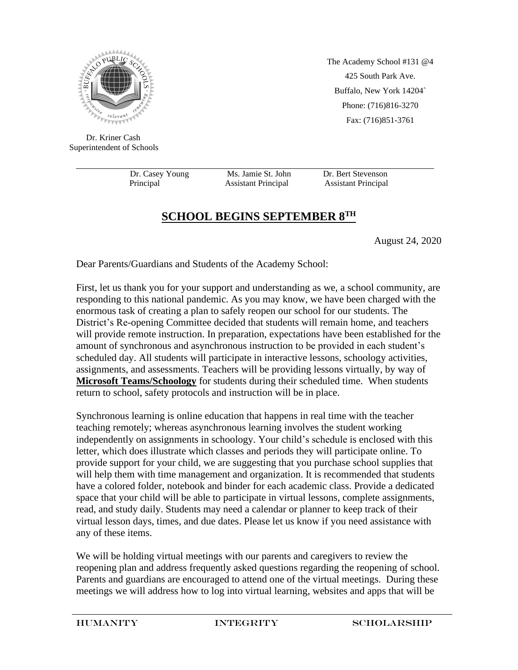

 Dr. Kriner Cash Superintendent of Schools

Principal Assistant Principal Assistant Principal

Dr. Casey Young Ms. Jamie St. John Dr. Bert Stevenson

The Academy School #131 @4 425 South Park Ave. Buffalo, New York 14204` Phone: (716)816-3270 Fax: (716)851-3761

## **SCHOOL BEGINS SEPTEMBER 8TH**

August 24, 2020

Dear Parents/Guardians and Students of the Academy School:

First, let us thank you for your support and understanding as we, a school community, are responding to this national pandemic. As you may know, we have been charged with the enormous task of creating a plan to safely reopen our school for our students. The District's Re-opening Committee decided that students will remain home, and teachers will provide remote instruction. In preparation, expectations have been established for the amount of synchronous and asynchronous instruction to be provided in each student's scheduled day. All students will participate in interactive lessons, schoology activities, assignments, and assessments. Teachers will be providing lessons virtually, by way of **Microsoft Teams/Schoology** for students during their scheduled time. When students return to school, safety protocols and instruction will be in place.

Synchronous learning is online education that happens in real time with the teacher teaching remotely; whereas asynchronous learning involves the student working independently on assignments in schoology. Your child's schedule is enclosed with this letter, which does illustrate which classes and periods they will participate online. To provide support for your child, we are suggesting that you purchase school supplies that will help them with time management and organization. It is recommended that students have a colored folder, notebook and binder for each academic class. Provide a dedicated space that your child will be able to participate in virtual lessons, complete assignments, read, and study daily. Students may need a calendar or planner to keep track of their virtual lesson days, times, and due dates. Please let us know if you need assistance with any of these items.

We will be holding virtual meetings with our parents and caregivers to review the reopening plan and address frequently asked questions regarding the reopening of school. Parents and guardians are encouraged to attend one of the virtual meetings. During these meetings we will address how to log into virtual learning, websites and apps that will be